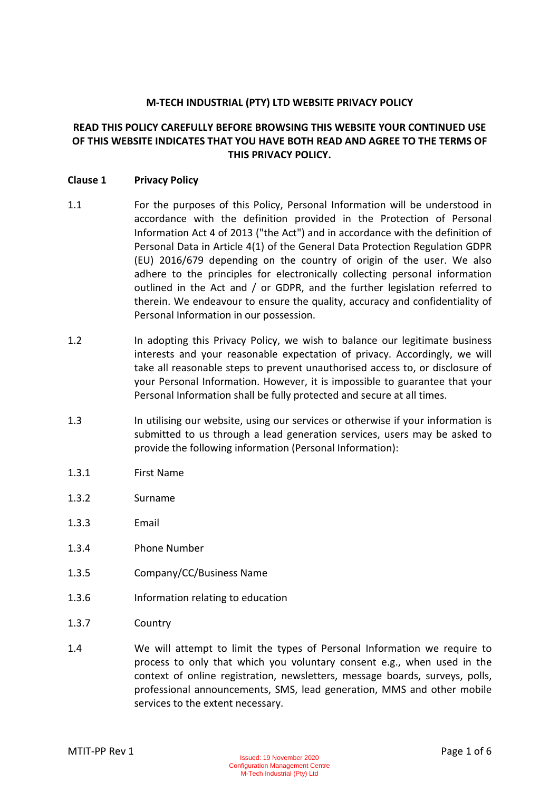## **M-TECH INDUSTRIAL (PTY) LTD WEBSITE PRIVACY POLICY**

# **READ THIS POLICY CAREFULLY BEFORE BROWSING THIS WEBSITE YOUR CONTINUED USE OF THIS WEBSITE INDICATES THAT YOU HAVE BOTH READ AND AGREE TO THE TERMS OF THIS PRIVACY POLICY.**

## **Clause 1 Privacy Policy**

- 1.1 For the purposes of this Policy, Personal Information will be understood in accordance with the definition provided in the Protection of Personal Information Act 4 of 2013 ("the Act") and in accordance with the definition of Personal Data in Article 4(1) of the General Data Protection Regulation GDPR (EU) 2016/679 depending on the country of origin of the user. We also adhere to the principles for electronically collecting personal information outlined in the Act and / or GDPR, and the further legislation referred to therein. We endeavour to ensure the quality, accuracy and confidentiality of Personal Information in our possession.
- 1.2 In adopting this Privacy Policy, we wish to balance our legitimate business interests and your reasonable expectation of privacy. Accordingly, we will take all reasonable steps to prevent unauthorised access to, or disclosure of your Personal Information. However, it is impossible to guarantee that your Personal Information shall be fully protected and secure at all times.
- 1.3 In utilising our website, using our services or otherwise if your information is submitted to us through a lead generation services, users may be asked to provide the following information (Personal Information):
- 1.3.1 First Name
- 1.3.2 Surname
- 1.3.3 Email
- 1.3.4 Phone Number
- 1.3.5 Company/CC/Business Name
- 1.3.6 Information relating to education
- 1.3.7 Country
- 1.4 We will attempt to limit the types of Personal Information we require to process to only that which you voluntary consent e.g., when used in the context of online registration, newsletters, message boards, surveys, polls, professional announcements, SMS, lead generation, MMS and other mobile services to the extent necessary.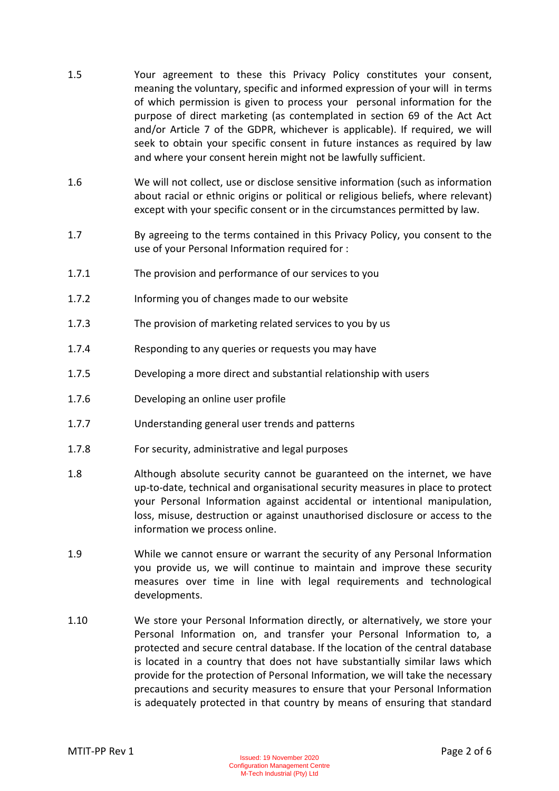- 1.5 Your agreement to these this Privacy Policy constitutes your consent, meaning the voluntary, specific and informed expression of your will in terms of which permission is given to process your personal information for the purpose of direct marketing (as contemplated in section 69 of the Act Act and/or Article 7 of the GDPR, whichever is applicable). If required, we will seek to obtain your specific consent in future instances as required by law and where your consent herein might not be lawfully sufficient.
- 1.6 We will not collect, use or disclose sensitive information (such as information about racial or ethnic origins or political or religious beliefs, where relevant) except with your specific consent or in the circumstances permitted by law.
- 1.7 By agreeing to the terms contained in this Privacy Policy, you consent to the use of your Personal Information required for :
- 1.7.1 The provision and performance of our services to you
- 1.7.2 Informing you of changes made to our website
- 1.7.3 The provision of marketing related services to you by us
- 1.7.4 Responding to any queries or requests you may have
- 1.7.5 Developing a more direct and substantial relationship with users
- 1.7.6 Developing an online user profile
- 1.7.7 Understanding general user trends and patterns
- 1.7.8 For security, administrative and legal purposes
- 1.8 Although absolute security cannot be guaranteed on the internet, we have up-to-date, technical and organisational security measures in place to protect your Personal Information against accidental or intentional manipulation, loss, misuse, destruction or against unauthorised disclosure or access to the information we process online.
- 1.9 While we cannot ensure or warrant the security of any Personal Information you provide us, we will continue to maintain and improve these security measures over time in line with legal requirements and technological developments.
- 1.10 We store your Personal Information directly, or alternatively, we store your Personal Information on, and transfer your Personal Information to, a protected and secure central database. If the location of the central database is located in a country that does not have substantially similar laws which provide for the protection of Personal Information, we will take the necessary precautions and security measures to ensure that your Personal Information is adequately protected in that country by means of ensuring that standard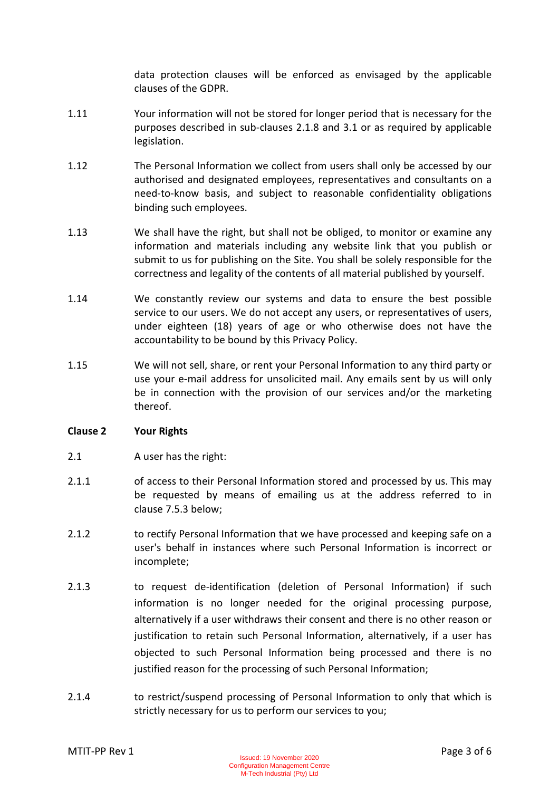data protection clauses will be enforced as envisaged by the applicable clauses of the GDPR.

- 1.11 Your information will not be stored for longer period that is necessary for the purposes described in sub-clauses 2.1.8 and 3.1 or as required by applicable legislation.
- 1.12 The Personal Information we collect from users shall only be accessed by our authorised and designated employees, representatives and consultants on a need-to-know basis, and subject to reasonable confidentiality obligations binding such employees.
- 1.13 We shall have the right, but shall not be obliged, to monitor or examine any information and materials including any website link that you publish or submit to us for publishing on the Site. You shall be solely responsible for the correctness and legality of the contents of all material published by yourself.
- 1.14 We constantly review our systems and data to ensure the best possible service to our users. We do not accept any users, or representatives of users, under eighteen (18) years of age or who otherwise does not have the accountability to be bound by this Privacy Policy.
- 1.15 We will not sell, share, or rent your Personal Information to any third party or use your e-mail address for unsolicited mail. Any emails sent by us will only be in connection with the provision of our services and/or the marketing thereof.

## **Clause 2 Your Rights**

- 2.1 A user has the right:
- 2.1.1 of access to their Personal Information stored and processed by us. This may be requested by means of emailing us at the address referred to in clause 7.5.3 below;
- 2.1.2 to rectify Personal Information that we have processed and keeping safe on a user's behalf in instances where such Personal Information is incorrect or incomplete;
- 2.1.3 to request de-identification (deletion of Personal Information) if such information is no longer needed for the original processing purpose, alternatively if a user withdraws their consent and there is no other reason or justification to retain such Personal Information, alternatively, if a user has objected to such Personal Information being processed and there is no justified reason for the processing of such Personal Information;
- 2.1.4 to restrict/suspend processing of Personal Information to only that which is strictly necessary for us to perform our services to you;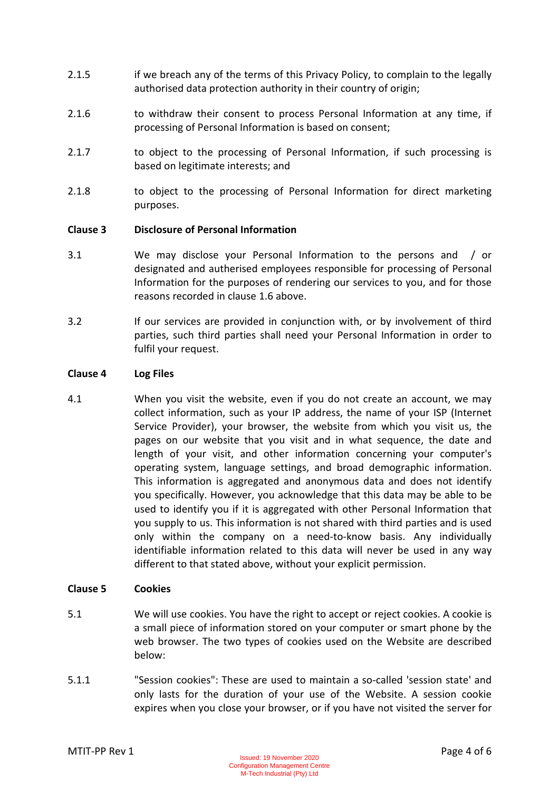- 2.1.5 if we breach any of the terms of this Privacy Policy, to complain to the legally authorised data protection authority in their country of origin;
- 2.1.6 to withdraw their consent to process Personal Information at any time, if processing of Personal Information is based on consent;
- 2.1.7 to object to the processing of Personal Information, if such processing is based on legitimate interests; and
- 2.1.8 to object to the processing of Personal Information for direct marketing purposes.

## **Clause 3 Disclosure of Personal Information**

- 3.1 We may disclose your Personal Information to the persons and / or designated and autherised employees responsible for processing of Personal Information for the purposes of rendering our services to you, and for those reasons recorded in clause 1.6 above.
- 3.2 If our services are provided in conjunction with, or by involvement of third parties, such third parties shall need your Personal Information in order to fulfil your request.

#### **Clause 4 Log Files**

4.1 When you visit the website, even if you do not create an account, we may collect information, such as your IP address, the name of your ISP (Internet Service Provider), your browser, the website from which you visit us, the pages on our website that you visit and in what sequence, the date and length of your visit, and other information concerning your computer's operating system, language settings, and broad demographic information. This information is aggregated and anonymous data and does not identify you specifically. However, you acknowledge that this data may be able to be used to identify you if it is aggregated with other Personal Information that you supply to us. This information is not shared with third parties and is used only within the company on a need-to-know basis. Any individually identifiable information related to this data will never be used in any way different to that stated above, without your explicit permission.

## **Clause 5 Cookies**

- 5.1 We will use cookies. You have the right to accept or reject cookies. A cookie is a small piece of information stored on your computer or smart phone by the web browser. The two types of cookies used on the Website are described below:
- 5.1.1 "Session cookies": These are used to maintain a so-called 'session state' and only lasts for the duration of your use of the Website. A session cookie expires when you close your browser, or if you have not visited the server for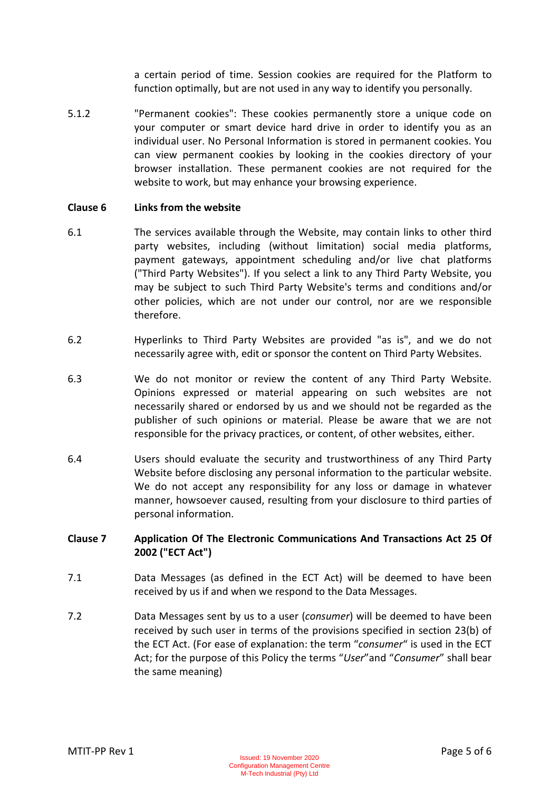a certain period of time. Session cookies are required for the Platform to function optimally, but are not used in any way to identify you personally.

5.1.2 "Permanent cookies": These cookies permanently store a unique code on your computer or smart device hard drive in order to identify you as an individual user. No Personal Information is stored in permanent cookies. You can view permanent cookies by looking in the cookies directory of your browser installation. These permanent cookies are not required for the website to work, but may enhance your browsing experience.

#### **Clause 6 Links from the website**

- 6.1 The services available through the Website, may contain links to other third party websites, including (without limitation) social media platforms, payment gateways, appointment scheduling and/or live chat platforms ("Third Party Websites"). If you select a link to any Third Party Website, you may be subject to such Third Party Website's terms and conditions and/or other policies, which are not under our control, nor are we responsible therefore.
- 6.2 Hyperlinks to Third Party Websites are provided "as is", and we do not necessarily agree with, edit or sponsor the content on Third Party Websites.
- 6.3 We do not monitor or review the content of any Third Party Website. Opinions expressed or material appearing on such websites are not necessarily shared or endorsed by us and we should not be regarded as the publisher of such opinions or material. Please be aware that we are not responsible for the privacy practices, or content, of other websites, either.
- 6.4 Users should evaluate the security and trustworthiness of any Third Party Website before disclosing any personal information to the particular website. We do not accept any responsibility for any loss or damage in whatever manner, howsoever caused, resulting from your disclosure to third parties of personal information.

## **Clause 7 Application Of The Electronic Communications And Transactions Act 25 Of 2002 ("ECT Act")**

- 7.1 Data Messages (as defined in the ECT Act) will be deemed to have been received by us if and when we respond to the Data Messages.
- 7.2 Data Messages sent by us to a user (*consumer*) will be deemed to have been received by such user in terms of the provisions specified in section 23(b) of the ECT Act. (For ease of explanation: the term "*consumer*" is used in the ECT Act; for the purpose of this Policy the terms "*User*"and "*Consumer*" shall bear the same meaning)